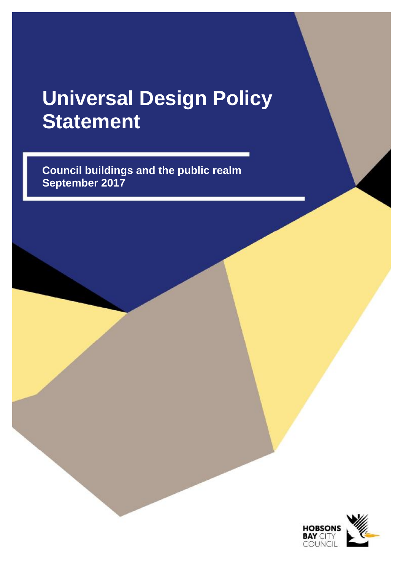# **Universal Design Policy Statement**

**Council buildings and the public realm September 2017** 

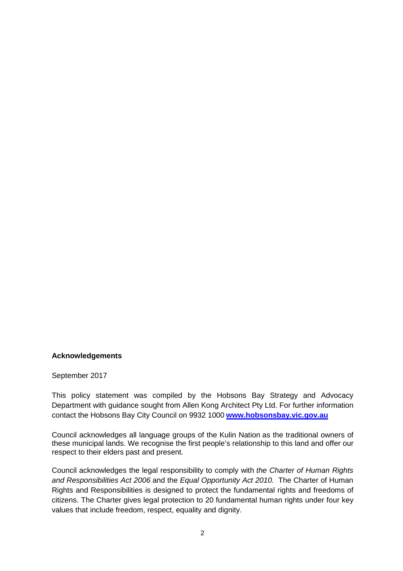#### **Acknowledgements**

#### September 2017

This policy statement was compiled by the Hobsons Bay Strategy and Advocacy Department with guidance sought from Allen Kong Architect Pty Ltd. For further information contact the Hobsons Bay City Council on 9932 1000 **[www.hobsonsbay.vic.gov.au](http://www.hobsonsbay.vic.gov.au)**

Council acknowledges all language groups of the Kulin Nation as the traditional owners of these municipal lands. We recognise the first people's relationship to this land and offer our respect to their elders past and present.

Council acknowledges the legal responsibility to comply with *the Charter of Human Rights and Responsibilities Act 2006* and the *Equal Opportunity Act 2010*. The Charter of Human Rights and Responsibilities is designed to protect the fundamental rights and freedoms of citizens. The Charter gives legal protection to 20 fundamental human rights under four key values that include freedom, respect, equality and dignity.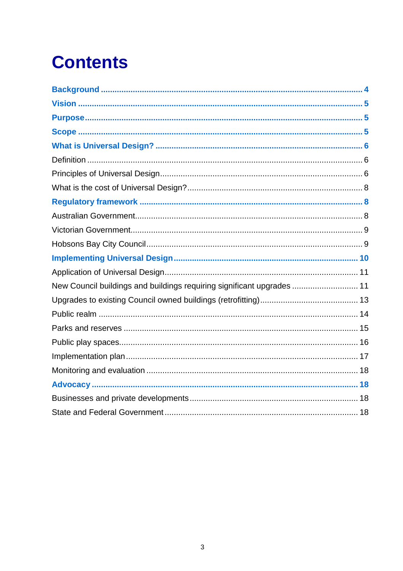# **Contents**

| New Council buildings and buildings requiring significant upgrades  11 |
|------------------------------------------------------------------------|
|                                                                        |
|                                                                        |
|                                                                        |
|                                                                        |
|                                                                        |
|                                                                        |
|                                                                        |
|                                                                        |
|                                                                        |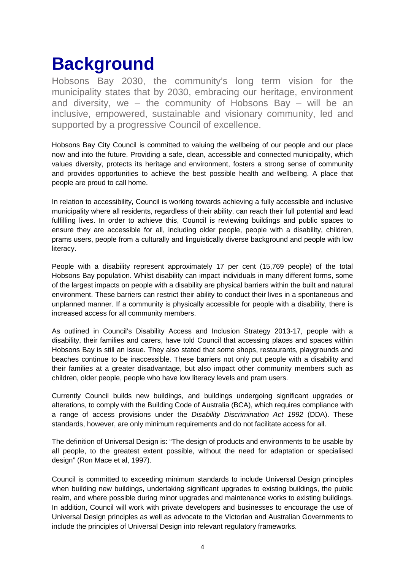# **Background**

Hobsons Bay 2030, the community's long term vision for the municipality states that by 2030, embracing our heritage, environment and diversity, we – the community of Hobsons Bay – will be an inclusive, empowered, sustainable and visionary community, led and supported by a progressive Council of excellence.

Hobsons Bay City Council is committed to valuing the wellbeing of our people and our place now and into the future. Providing a safe, clean, accessible and connected municipality, which values diversity, protects its heritage and environment, fosters a strong sense of community and provides opportunities to achieve the best possible health and wellbeing. A place that people are proud to call home.

In relation to accessibility, Council is working towards achieving a fully accessible and inclusive municipality where all residents, regardless of their ability, can reach their full potential and lead fulfilling lives. In order to achieve this, Council is reviewing buildings and public spaces to ensure they are accessible for all, including older people, people with a disability, children, prams users, people from a culturally and linguistically diverse background and people with low literacy.

People with a disability represent approximately 17 per cent (15,769 people) of the total Hobsons Bay population. Whilst disability can impact individuals in many different forms, some of the largest impacts on people with a disability are physical barriers within the built and natural environment. These barriers can restrict their ability to conduct their lives in a spontaneous and unplanned manner. If a community is physically accessible for people with a disability, there is increased access for all community members.

As outlined in Council's Disability Access and Inclusion Strategy 2013-17, people with a disability, their families and carers, have told Council that accessing places and spaces within Hobsons Bay is still an issue. They also stated that some shops, restaurants, playgrounds and beaches continue to be inaccessible. These barriers not only put people with a disability and their families at a greater disadvantage, but also impact other community members such as children, older people, people who have low literacy levels and pram users.

Currently Council builds new buildings, and buildings undergoing significant upgrades or alterations, to comply with the Building Code of Australia (BCA), which requires compliance with a range of access provisions under the *Disability Discrimination Act 1992* (DDA). These standards, however, are only minimum requirements and do not facilitate access for all.

The definition of Universal Design is: "The design of products and environments to be usable by all people, to the greatest extent possible, without the need for adaptation or specialised design" (Ron Mace et al, 1997).

Council is committed to exceeding minimum standards to include Universal Design principles when building new buildings, undertaking significant upgrades to existing buildings, the public realm, and where possible during minor upgrades and maintenance works to existing buildings. In addition, Council will work with private developers and businesses to encourage the use of Universal Design principles as well as advocate to the Victorian and Australian Governments to include the principles of Universal Design into relevant regulatory frameworks.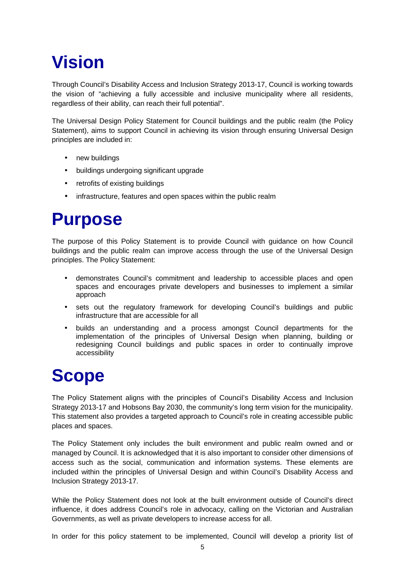# **Vision**

Through Council's Disability Access and Inclusion Strategy 2013-17, Council is working towards the vision of "achieving a fully accessible and inclusive municipality where all residents, regardless of their ability, can reach their full potential".

The Universal Design Policy Statement for Council buildings and the public realm (the Policy Statement), aims to support Council in achieving its vision through ensuring Universal Design principles are included in:

- new buildings
- buildings undergoing significant upgrade
- retrofits of existing buildings
- infrastructure, features and open spaces within the public realm

## **Purpose**

The purpose of this Policy Statement is to provide Council with guidance on how Council buildings and the public realm can improve access through the use of the Universal Design principles. The Policy Statement:

- demonstrates Council's commitment and leadership to accessible places and open spaces and encourages private developers and businesses to implement a similar approach
- sets out the regulatory framework for developing Council's buildings and public infrastructure that are accessible for all
- builds an understanding and a process amongst Council departments for the implementation of the principles of Universal Design when planning, building or redesigning Council buildings and public spaces in order to continually improve accessibility

## **Scope**

The Policy Statement aligns with the principles of Council's Disability Access and Inclusion Strategy 2013-17 and Hobsons Bay 2030, the community's long term vision for the municipality. This statement also provides a targeted approach to Council's role in creating accessible public places and spaces.

The Policy Statement only includes the built environment and public realm owned and or managed by Council. It is acknowledged that it is also important to consider other dimensions of access such as the social, communication and information systems. These elements are included within the principles of Universal Design and within Council's Disability Access and Inclusion Strategy 2013-17.

While the Policy Statement does not look at the built environment outside of Council's direct influence, it does address Council's role in advocacy, calling on the Victorian and Australian Governments, as well as private developers to increase access for all.

In order for this policy statement to be implemented, Council will develop a priority list of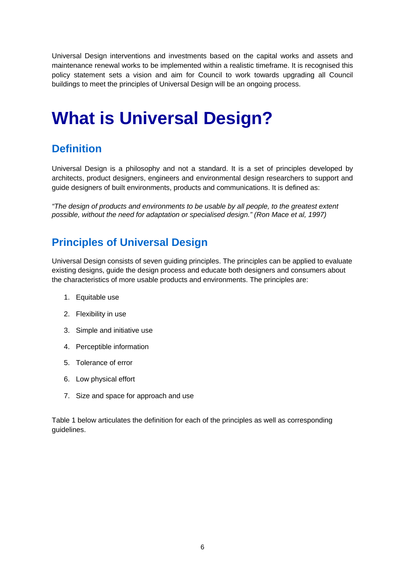Universal Design interventions and investments based on the capital works and assets and maintenance renewal works to be implemented within a realistic timeframe. It is recognised this policy statement sets a vision and aim for Council to work towards upgrading all Council buildings to meet the principles of Universal Design will be an ongoing process.

## **What is Universal Design?**

### **Definition**

Universal Design is a philosophy and not a standard. It is a set of principles developed by architects, product designers, engineers and environmental design researchers to support and guide designers of built environments, products and communications. It is defined as:

*"The design of products and environments to be usable by all people, to the greatest extent possible, without the need for adaptation or specialised design." (Ron Mace et al, 1997)* 

### **Principles of Universal Design**

Universal Design consists of seven guiding principles. The principles can be applied to evaluate existing designs, guide the design process and educate both designers and consumers about the characteristics of more usable products and environments. The principles are:

- 1. Equitable use
- 2. Flexibility in use
- 3. Simple and initiative use
- 4. Perceptible information
- 5. Tolerance of error
- 6. Low physical effort
- 7. Size and space for approach and use

Table 1 below articulates the definition for each of the principles as well as corresponding guidelines.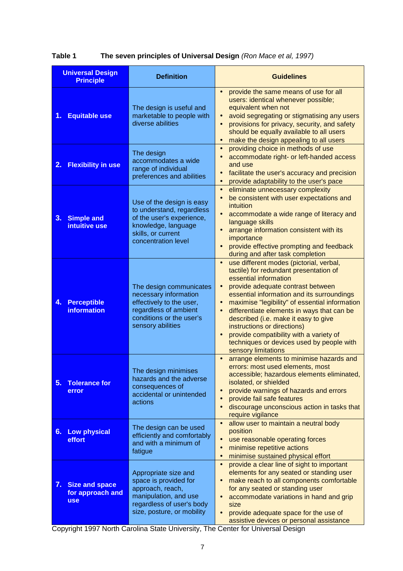| <b>Universal Design</b><br><b>Principle</b>                   | <b>Definition</b>                                                                                                                                       | <b>Guidelines</b>                                                                                                                                                                                                                                                                                                                                                                                                                                                                                                                                    |
|---------------------------------------------------------------|---------------------------------------------------------------------------------------------------------------------------------------------------------|------------------------------------------------------------------------------------------------------------------------------------------------------------------------------------------------------------------------------------------------------------------------------------------------------------------------------------------------------------------------------------------------------------------------------------------------------------------------------------------------------------------------------------------------------|
| <b>Equitable use</b><br>1.                                    | The design is useful and<br>marketable to people with<br>diverse abilities                                                                              | provide the same means of use for all<br>$\bullet$<br>users: identical whenever possible;<br>equivalent when not<br>avoid segregating or stigmatising any users<br>$\bullet$<br>provisions for privacy, security, and safety<br>$\bullet$<br>should be equally available to all users<br>make the design appealing to all users<br>$\bullet$                                                                                                                                                                                                         |
| <b>Flexibility in use</b><br>2.                               | The design<br>accommodates a wide<br>range of individual<br>preferences and abilities                                                                   | providing choice in methods of use<br>$\bullet$<br>accommodate right- or left-handed access<br>$\bullet$<br>and use<br>facilitate the user's accuracy and precision<br>$\bullet$<br>provide adaptability to the user's pace<br>$\bullet$                                                                                                                                                                                                                                                                                                             |
| 3.<br><b>Simple and</b><br>intuitive use                      | Use of the design is easy<br>to understand, regardless<br>of the user's experience,<br>knowledge, language<br>skills, or current<br>concentration level | eliminate unnecessary complexity<br>$\bullet$<br>be consistent with user expectations and<br>$\bullet$<br>intuition<br>accommodate a wide range of literacy and<br>$\bullet$<br>language skills<br>arrange information consistent with its<br>$\bullet$<br>importance<br>provide effective prompting and feedback<br>$\bullet$<br>during and after task completion                                                                                                                                                                                   |
| <b>Perceptible</b><br>4.<br><b>information</b>                | The design communicates<br>necessary information<br>effectively to the user,<br>regardless of ambient<br>conditions or the user's<br>sensory abilities  | use different modes (pictorial, verbal,<br>$\bullet$<br>tactile) for redundant presentation of<br>essential information<br>provide adequate contrast between<br>$\bullet$<br>essential information and its surroundings<br>maximise "legibility" of essential information<br>$\bullet$<br>differentiate elements in ways that can be<br>$\bullet$<br>described (i.e. make it easy to give<br>instructions or directions)<br>provide compatibility with a variety of<br>$\bullet$<br>techniques or devices used by people with<br>sensory limitations |
| 5.<br><b>Tolerance for</b><br>error                           | The design minimises<br>hazards and the adverse<br>consequences of<br>accidental or unintended<br>actions                                               | arrange elements to minimise hazards and<br>$\bullet$<br>errors: most used elements, most<br>accessible; hazardous elements eliminated,<br>isolated, or shielded<br>provide warnings of hazards and errors<br>$\bullet$<br>provide fail safe features<br>$\bullet$<br>discourage unconscious action in tasks that<br>$\bullet$<br>require vigilance                                                                                                                                                                                                  |
| <b>Low physical</b><br>6.<br>effort                           | The design can be used<br>efficiently and comfortably<br>and with a minimum of<br>fatigue                                                               | allow user to maintain a neutral body<br>$\bullet$<br>position<br>use reasonable operating forces<br>$\bullet$<br>minimise repetitive actions<br>$\bullet$<br>minimise sustained physical effort<br>$\bullet$                                                                                                                                                                                                                                                                                                                                        |
| 7.<br><b>Size and space</b><br>for approach and<br><b>use</b> | Appropriate size and<br>space is provided for<br>approach, reach,<br>manipulation, and use<br>regardless of user's body<br>size, posture, or mobility   | provide a clear line of sight to important<br>$\bullet$<br>elements for any seated or standing user<br>make reach to all components comfortable<br>$\bullet$<br>for any seated or standing user<br>accommodate variations in hand and grip<br>$\bullet$<br>size<br>provide adequate space for the use of<br>$\bullet$<br>assistive devices or personal assistance                                                                                                                                                                                    |

**Table 1 The seven principles of Universal Design** *(Ron Mace et al, 1997)*

**Computer Control Control Control Copyright 1997 North Carolina State University, The Center for Universal Design**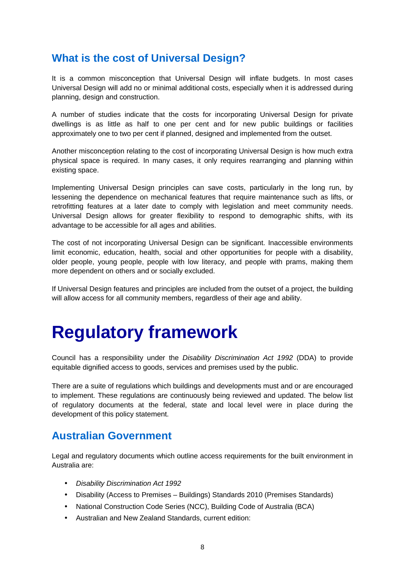#### **What is the cost of Universal Design?**

It is a common misconception that Universal Design will inflate budgets. In most cases Universal Design will add no or minimal additional costs, especially when it is addressed during planning, design and construction.

A number of studies indicate that the costs for incorporating Universal Design for private dwellings is as little as half to one per cent and for new public buildings or facilities approximately one to two per cent if planned, designed and implemented from the outset.

Another misconception relating to the cost of incorporating Universal Design is how much extra physical space is required. In many cases, it only requires rearranging and planning within existing space.

Implementing Universal Design principles can save costs, particularly in the long run, by lessening the dependence on mechanical features that require maintenance such as lifts, or retrofitting features at a later date to comply with legislation and meet community needs. Universal Design allows for greater flexibility to respond to demographic shifts, with its advantage to be accessible for all ages and abilities.

The cost of not incorporating Universal Design can be significant. Inaccessible environments limit economic, education, health, social and other opportunities for people with a disability, older people, young people, people with low literacy, and people with prams, making them more dependent on others and or socially excluded.

If Universal Design features and principles are included from the outset of a project, the building will allow access for all community members, regardless of their age and ability.

## **Regulatory framework**

Council has a responsibility under the *Disability Discrimination Act 1992* (DDA) to provide equitable dignified access to goods, services and premises used by the public.

There are a suite of regulations which buildings and developments must and or are encouraged to implement. These regulations are continuously being reviewed and updated. The below list of regulatory documents at the federal, state and local level were in place during the development of this policy statement.

#### **Australian Government**

Legal and regulatory documents which outline access requirements for the built environment in Australia are:

- *Disability Discrimination Act 1992*
- Disability (Access to Premises Buildings) Standards 2010 (Premises Standards)
- National Construction Code Series (NCC), Building Code of Australia (BCA)
- Australian and New Zealand Standards, current edition: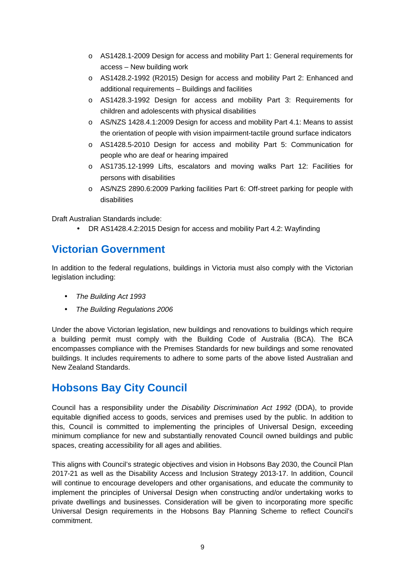- o AS1428.1-2009 Design for access and mobility Part 1: General requirements for access – New building work
- o AS1428.2-1992 (R2015) Design for access and mobility Part 2: Enhanced and additional requirements – Buildings and facilities
- o AS1428.3-1992 Design for access and mobility Part 3: Requirements for children and adolescents with physical disabilities
- o AS/NZS 1428.4.1:2009 Design for access and mobility Part 4.1: Means to assist the orientation of people with vision impairment-tactile ground surface indicators
- o AS1428.5-2010 Design for access and mobility Part 5: Communication for people who are deaf or hearing impaired
- o AS1735.12-1999 Lifts, escalators and moving walks Part 12: Facilities for persons with disabilities
- o AS/NZS 2890.6:2009 Parking facilities Part 6: Off-street parking for people with disabilities

Draft Australian Standards include:

• DR AS1428.4.2:2015 Design for access and mobility Part 4.2: Wayfinding

#### **Victorian Government**

In addition to the federal regulations, buildings in Victoria must also comply with the Victorian legislation including:

- *The Building Act 1993*
- *The Building Regulations 2006*

Under the above Victorian legislation, new buildings and renovations to buildings which require a building permit must comply with the Building Code of Australia (BCA). The BCA encompasses compliance with the Premises Standards for new buildings and some renovated buildings. It includes requirements to adhere to some parts of the above listed Australian and New Zealand Standards.

### **Hobsons Bay City Council**

Council has a responsibility under the *Disability Discrimination Act 1992* (DDA), to provide equitable dignified access to goods, services and premises used by the public. In addition to this, Council is committed to implementing the principles of Universal Design, exceeding minimum compliance for new and substantially renovated Council owned buildings and public spaces, creating accessibility for all ages and abilities.

This aligns with Council's strategic objectives and vision in Hobsons Bay 2030, the Council Plan 2017-21 as well as the Disability Access and Inclusion Strategy 2013-17. In addition, Council will continue to encourage developers and other organisations, and educate the community to implement the principles of Universal Design when constructing and/or undertaking works to private dwellings and businesses. Consideration will be given to incorporating more specific Universal Design requirements in the Hobsons Bay Planning Scheme to reflect Council's commitment.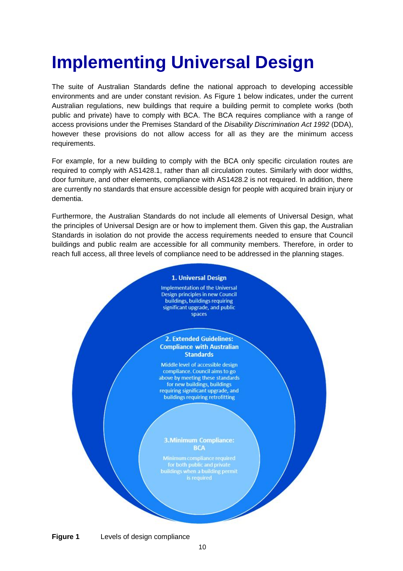# **Implementing Universal Design**

The suite of Australian Standards define the national approach to developing accessible environments and are under constant revision. As Figure 1 below indicates, under the current Australian regulations, new buildings that require a building permit to complete works (both public and private) have to comply with BCA. The BCA requires compliance with a range of access provisions under the Premises Standard of the *Disability Discrimination Act 1992* (DDA), however these provisions do not allow access for all as they are the minimum access requirements.

For example, for a new building to comply with the BCA only specific circulation routes are required to comply with AS1428.1, rather than all circulation routes. Similarly with door widths, door furniture, and other elements, compliance with AS1428.2 is not required. In addition, there are currently no standards that ensure accessible design for people with acquired brain injury or dementia.

Furthermore, the Australian Standards do not include all elements of Universal Design, what the principles of Universal Design are or how to implement them. Given this gap, the Australian Standards in isolation do not provide the access requirements needed to ensure that Council buildings and public realm are accessible for all community members. Therefore, in order to reach full access, all three levels of compliance need to be addressed in the planning stages.



**Figure 1** Levels of design compliance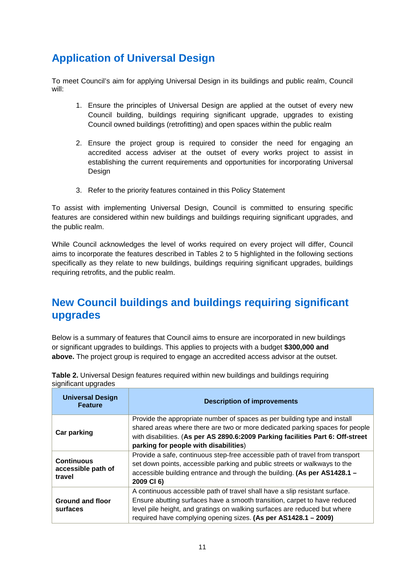### **Application of Universal Design**

To meet Council's aim for applying Universal Design in its buildings and public realm, Council will:

- 1. Ensure the principles of Universal Design are applied at the outset of every new Council building, buildings requiring significant upgrade, upgrades to existing Council owned buildings (retrofitting) and open spaces within the public realm
- 2. Ensure the project group is required to consider the need for engaging an accredited access adviser at the outset of every works project to assist in establishing the current requirements and opportunities for incorporating Universal Design
- 3. Refer to the priority features contained in this Policy Statement

To assist with implementing Universal Design, Council is committed to ensuring specific features are considered within new buildings and buildings requiring significant upgrades, and the public realm.

While Council acknowledges the level of works required on every project will differ, Council aims to incorporate the features described in Tables 2 to 5 highlighted in the following sections specifically as they relate to new buildings, buildings requiring significant upgrades, buildings requiring retrofits, and the public realm.

#### **New Council buildings and buildings requiring significant upgrades**

Below is a summary of features that Council aims to ensure are incorporated in new buildings or significant upgrades to buildings. This applies to projects with a budget **\$300,000 and above.** The project group is required to engage an accredited access advisor at the outset.

| <b>Universal Design</b><br><b>Feature</b>         | <b>Description of improvements</b>                                                                                                                                                                                                                                                                       |
|---------------------------------------------------|----------------------------------------------------------------------------------------------------------------------------------------------------------------------------------------------------------------------------------------------------------------------------------------------------------|
| <b>Car parking</b>                                | Provide the appropriate number of spaces as per building type and install<br>shared areas where there are two or more dedicated parking spaces for people<br>with disabilities. (As per AS 2890.6:2009 Parking facilities Part 6: Off-street<br>parking for people with disabilities)                    |
| <b>Continuous</b><br>accessible path of<br>travel | Provide a safe, continuous step-free accessible path of travel from transport<br>set down points, accessible parking and public streets or walkways to the<br>accessible building entrance and through the building. (As per AS1428.1 –<br>2009 CI 6)                                                    |
| <b>Ground and floor</b><br>surfaces               | A continuous accessible path of travel shall have a slip resistant surface.<br>Ensure abutting surfaces have a smooth transition, carpet to have reduced<br>level pile height, and gratings on walking surfaces are reduced but where<br>required have complying opening sizes. (As per AS1428.1 - 2009) |

**Table 2.** Universal Design features required within new buildings and buildings requiring significant upgrades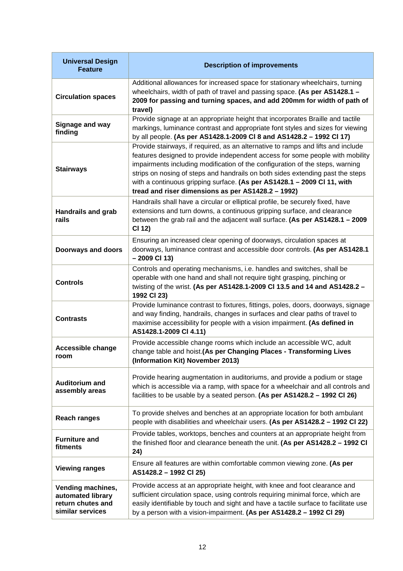| <b>Universal Design</b><br><b>Feature</b>                                       | <b>Description of improvements</b>                                                                                                                                                                                                                                                                                                                                                                                                                                    |
|---------------------------------------------------------------------------------|-----------------------------------------------------------------------------------------------------------------------------------------------------------------------------------------------------------------------------------------------------------------------------------------------------------------------------------------------------------------------------------------------------------------------------------------------------------------------|
| <b>Circulation spaces</b>                                                       | Additional allowances for increased space for stationary wheelchairs, turning<br>wheelchairs, width of path of travel and passing space. (As per AS1428.1 -<br>2009 for passing and turning spaces, and add 200mm for width of path of<br>travel)                                                                                                                                                                                                                     |
| Signage and way<br>finding                                                      | Provide signage at an appropriate height that incorporates Braille and tactile<br>markings, luminance contrast and appropriate font styles and sizes for viewing<br>by all people. (As per AS1428.1-2009 CI 8 and AS1428.2 - 1992 CI 17)                                                                                                                                                                                                                              |
| <b>Stairways</b>                                                                | Provide stairways, if required, as an alternative to ramps and lifts and include<br>features designed to provide independent access for some people with mobility<br>impairments including modification of the configuration of the steps, warning<br>strips on nosing of steps and handrails on both sides extending past the steps<br>with a continuous gripping surface. (As per AS1428.1 - 2009 CI 11, with<br>tread and riser dimensions as per AS1428.2 - 1992) |
| <b>Handrails and grab</b><br>rails                                              | Handrails shall have a circular or elliptical profile, be securely fixed, have<br>extensions and turn downs, a continuous gripping surface, and clearance<br>between the grab rail and the adjacent wall surface. (As per AS1428.1 - 2009<br>CI 12)                                                                                                                                                                                                                   |
| <b>Doorways and doors</b>                                                       | Ensuring an increased clear opening of doorways, circulation spaces at<br>doorways, luminance contrast and accessible door controls. (As per AS1428.1<br>$-2009$ Cl 13)                                                                                                                                                                                                                                                                                               |
| <b>Controls</b>                                                                 | Controls and operating mechanisms, i.e. handles and switches, shall be<br>operable with one hand and shall not require tight grasping, pinching or<br>twisting of the wrist. (As per AS1428.1-2009 CI 13.5 and 14 and AS1428.2 -<br>1992 CI 23)                                                                                                                                                                                                                       |
| <b>Contrasts</b>                                                                | Provide luminance contrast to fixtures, fittings, poles, doors, doorways, signage<br>and way finding, handrails, changes in surfaces and clear paths of travel to<br>maximise accessibility for people with a vision impairment. (As defined in<br>AS1428.1-2009 CI 4.11)                                                                                                                                                                                             |
| <b>Accessible change</b><br>room                                                | Provide accessible change rooms which include an accessible WC, adult<br>change table and hoist.(As per Changing Places - Transforming Lives<br>(Information Kit) November 2013)                                                                                                                                                                                                                                                                                      |
| <b>Auditorium and</b><br>assembly areas                                         | Provide hearing augmentation in auditoriums, and provide a podium or stage<br>which is accessible via a ramp, with space for a wheelchair and all controls and<br>facilities to be usable by a seated person. (As per AS1428.2 - 1992 CI 26)                                                                                                                                                                                                                          |
| <b>Reach ranges</b>                                                             | To provide shelves and benches at an appropriate location for both ambulant<br>people with disabilities and wheelchair users. (As per AS1428.2 - 1992 CI 22)                                                                                                                                                                                                                                                                                                          |
| <b>Furniture and</b><br>fitments                                                | Provide tables, worktops, benches and counters at an appropriate height from<br>the finished floor and clearance beneath the unit. (As per AS1428.2 - 1992 CI<br>24)                                                                                                                                                                                                                                                                                                  |
| <b>Viewing ranges</b>                                                           | Ensure all features are within comfortable common viewing zone. (As per<br>AS1428.2 - 1992 Cl 25)                                                                                                                                                                                                                                                                                                                                                                     |
| Vending machines,<br>automated library<br>return chutes and<br>similar services | Provide access at an appropriate height, with knee and foot clearance and<br>sufficient circulation space, using controls requiring minimal force, which are<br>easily identifiable by touch and sight and have a tactile surface to facilitate use<br>by a person with a vision-impairment. (As per AS1428.2 - 1992 CI 29)                                                                                                                                           |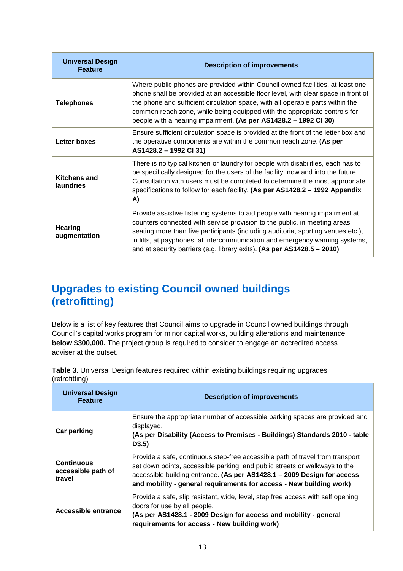| <b>Universal Design</b><br><b>Feature</b> | <b>Description of improvements</b>                                                                                                                                                                                                                                                                                                                                                                       |
|-------------------------------------------|----------------------------------------------------------------------------------------------------------------------------------------------------------------------------------------------------------------------------------------------------------------------------------------------------------------------------------------------------------------------------------------------------------|
| <b>Telephones</b>                         | Where public phones are provided within Council owned facilities, at least one<br>phone shall be provided at an accessible floor level, with clear space in front of<br>the phone and sufficient circulation space, with all operable parts within the<br>common reach zone, while being equipped with the appropriate controls for<br>people with a hearing impairment. (As per AS1428.2 - 1992 CI 30)  |
| <b>Letter boxes</b>                       | Ensure sufficient circulation space is provided at the front of the letter box and<br>the operative components are within the common reach zone. (As per<br>AS1428.2 - 1992 CI 31)                                                                                                                                                                                                                       |
| <b>Kitchens and</b><br><b>laundries</b>   | There is no typical kitchen or laundry for people with disabilities, each has to<br>be specifically designed for the users of the facility, now and into the future.<br>Consultation with users must be completed to determine the most appropriate<br>specifications to follow for each facility. (As per AS1428.2 – 1992 Appendix<br>A)                                                                |
| Hearing<br>augmentation                   | Provide assistive listening systems to aid people with hearing impairment at<br>counters connected with service provision to the public, in meeting areas<br>seating more than five participants (including auditoria, sporting venues etc.),<br>in lifts, at payphones, at intercommunication and emergency warning systems,<br>and at security barriers (e.g. library exits). (As per AS1428.5 - 2010) |

### **Upgrades to existing Council owned buildings (retrofitting)**

Below is a list of key features that Council aims to upgrade in Council owned buildings through Council's capital works program for minor capital works, building alterations and maintenance **below \$300,000.** The project group is required to consider to engage an accredited access adviser at the outset.

| <b>Universal Design</b><br><b>Feature</b>         | <b>Description of improvements</b>                                                                                                                                                                                                                                                                            |
|---------------------------------------------------|---------------------------------------------------------------------------------------------------------------------------------------------------------------------------------------------------------------------------------------------------------------------------------------------------------------|
| Car parking                                       | Ensure the appropriate number of accessible parking spaces are provided and<br>displayed.<br>(As per Disability (Access to Premises - Buildings) Standards 2010 - table<br>D3.5)                                                                                                                              |
| <b>Continuous</b><br>accessible path of<br>travel | Provide a safe, continuous step-free accessible path of travel from transport<br>set down points, accessible parking, and public streets or walkways to the<br>accessible building entrance. (As per AS1428.1 - 2009 Design for access<br>and mobility - general requirements for access - New building work) |
| <b>Accessible entrance</b>                        | Provide a safe, slip resistant, wide, level, step free access with self opening<br>doors for use by all people.<br>(As per AS1428.1 - 2009 Design for access and mobility - general<br>requirements for access - New building work)                                                                           |

**Table 3.** Universal Design features required within existing buildings requiring upgrades (retrofitting)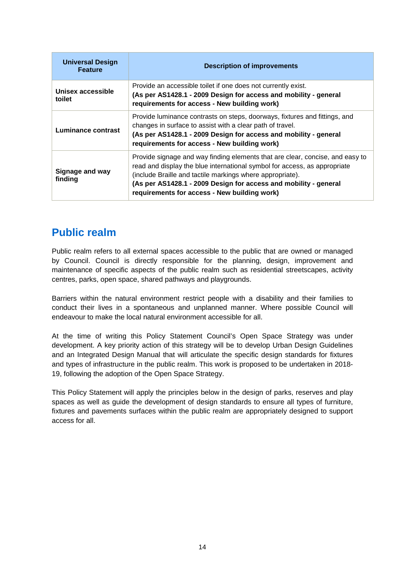| <b>Universal Design</b><br><b>Feature</b> | <b>Description of improvements</b>                                                                                                                                                                                                                                                                                                          |
|-------------------------------------------|---------------------------------------------------------------------------------------------------------------------------------------------------------------------------------------------------------------------------------------------------------------------------------------------------------------------------------------------|
| Unisex accessible<br>toilet               | Provide an accessible toilet if one does not currently exist.<br>(As per AS1428.1 - 2009 Design for access and mobility - general<br>requirements for access - New building work)                                                                                                                                                           |
| Luminance contrast                        | Provide luminance contrasts on steps, doorways, fixtures and fittings, and<br>changes in surface to assist with a clear path of travel.<br>(As per AS1428.1 - 2009 Design for access and mobility - general<br>requirements for access - New building work)                                                                                 |
| Signage and way<br>finding                | Provide signage and way finding elements that are clear, concise, and easy to<br>read and display the blue international symbol for access, as appropriate<br>(include Braille and tactile markings where appropriate).<br>(As per AS1428.1 - 2009 Design for access and mobility - general<br>requirements for access - New building work) |

#### **Public realm**

Public realm refers to all external spaces accessible to the public that are owned or managed by Council. Council is directly responsible for the planning, design, improvement and maintenance of specific aspects of the public realm such as residential streetscapes, activity centres, parks, open space, shared pathways and playgrounds.

Barriers within the natural environment restrict people with a disability and their families to conduct their lives in a spontaneous and unplanned manner. Where possible Council will endeavour to make the local natural environment accessible for all.

At the time of writing this Policy Statement Council's Open Space Strategy was under development. A key priority action of this strategy will be to develop Urban Design Guidelines and an Integrated Design Manual that will articulate the specific design standards for fixtures and types of infrastructure in the public realm. This work is proposed to be undertaken in 2018- 19, following the adoption of the Open Space Strategy.

This Policy Statement will apply the principles below in the design of parks, reserves and play spaces as well as guide the development of design standards to ensure all types of furniture, fixtures and pavements surfaces within the public realm are appropriately designed to support access for all.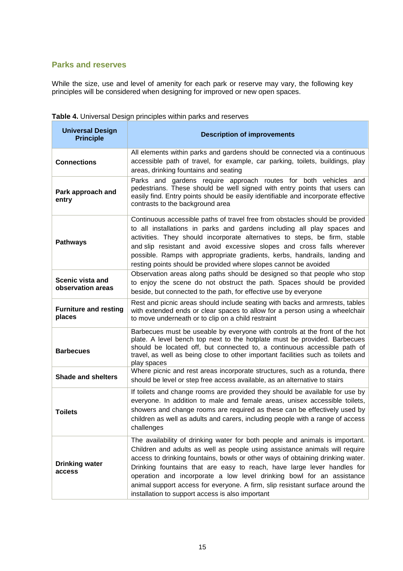#### **Parks and reserves**

While the size, use and level of amenity for each park or reserve may vary, the following key principles will be considered when designing for improved or new open spaces.

| <b>Universal Design</b><br><b>Principle</b> | <b>Description of improvements</b>                                                                                                                                                                                                                                                                                                                                                                                                                                                                                                     |
|---------------------------------------------|----------------------------------------------------------------------------------------------------------------------------------------------------------------------------------------------------------------------------------------------------------------------------------------------------------------------------------------------------------------------------------------------------------------------------------------------------------------------------------------------------------------------------------------|
| <b>Connections</b>                          | All elements within parks and gardens should be connected via a continuous<br>accessible path of travel, for example, car parking, toilets, buildings, play<br>areas, drinking fountains and seating                                                                                                                                                                                                                                                                                                                                   |
| Park approach and<br>entry                  | Parks and gardens require approach routes for both vehicles and<br>pedestrians. These should be well signed with entry points that users can<br>easily find. Entry points should be easily identifiable and incorporate effective<br>contrasts to the background area                                                                                                                                                                                                                                                                  |
| <b>Pathways</b>                             | Continuous accessible paths of travel free from obstacles should be provided<br>to all installations in parks and gardens including all play spaces and<br>activities. They should incorporate alternatives to steps, be firm, stable<br>and slip resistant and avoid excessive slopes and cross falls wherever<br>possible. Ramps with appropriate gradients, kerbs, handrails, landing and<br>resting points should be provided where slopes cannot be avoided                                                                       |
| Scenic vista and<br>observation areas       | Observation areas along paths should be designed so that people who stop<br>to enjoy the scene do not obstruct the path. Spaces should be provided<br>beside, but connected to the path, for effective use by everyone                                                                                                                                                                                                                                                                                                                 |
| <b>Furniture and resting</b><br>places      | Rest and picnic areas should include seating with backs and armrests, tables<br>with extended ends or clear spaces to allow for a person using a wheelchair<br>to move underneath or to clip on a child restraint                                                                                                                                                                                                                                                                                                                      |
| <b>Barbecues</b>                            | Barbecues must be useable by everyone with controls at the front of the hot<br>plate. A level bench top next to the hotplate must be provided. Barbecues<br>should be located off, but connected to, a continuous accessible path of<br>travel, as well as being close to other important facilities such as toilets and<br>play spaces                                                                                                                                                                                                |
| <b>Shade and shelters</b>                   | Where picnic and rest areas incorporate structures, such as a rotunda, there<br>should be level or step free access available, as an alternative to stairs                                                                                                                                                                                                                                                                                                                                                                             |
| <b>Toilets</b>                              | If toilets and change rooms are provided they should be available for use by<br>everyone. In addition to male and female areas, unisex accessible toilets,<br>showers and change rooms are required as these can be effectively used by<br>children as well as adults and carers, including people with a range of access<br>challenges                                                                                                                                                                                                |
| <b>Drinking water</b><br>access             | The availability of drinking water for both people and animals is important.<br>Children and adults as well as people using assistance animals will require<br>access to drinking fountains, bowls or other ways of obtaining drinking water.<br>Drinking fountains that are easy to reach, have large lever handles for<br>operation and incorporate a low level drinking bowl for an assistance<br>animal support access for everyone. A firm, slip resistant surface around the<br>installation to support access is also important |

**Table 4.** Universal Design principles within parks and reserves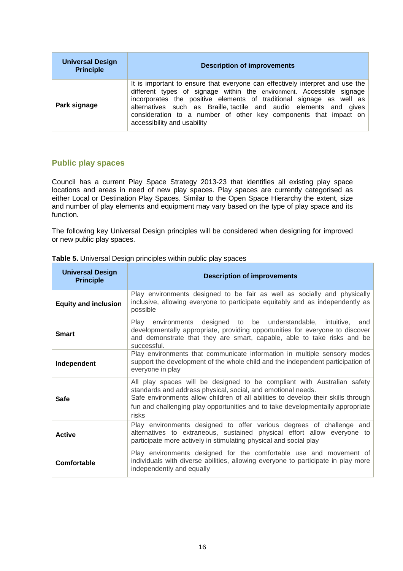| <b>Universal Design</b><br><b>Principle</b> | <b>Description of improvements</b>                                                                                                                                                                                                                                                                                                                                                                      |
|---------------------------------------------|---------------------------------------------------------------------------------------------------------------------------------------------------------------------------------------------------------------------------------------------------------------------------------------------------------------------------------------------------------------------------------------------------------|
| Park signage                                | It is important to ensure that everyone can effectively interpret and use the<br>different types of signage within the environment. Accessible signage<br>incorporates the positive elements of traditional signage as well as<br>alternatives such as Braille, tactile and audio elements and gives<br>consideration to a number of other key components that impact on<br>accessibility and usability |

#### **Public play spaces**

Council has a current Play Space Strategy 2013-23 that identifies all existing play space locations and areas in need of new play spaces. Play spaces are currently categorised as either Local or Destination Play Spaces. Similar to the Open Space Hierarchy the extent, size and number of play elements and equipment may vary based on the type of play space and its function.

The following key Universal Design principles will be considered when designing for improved or new public play spaces.

| <b>Universal Design</b><br><b>Principle</b> | <b>Description of improvements</b>                                                                                                                                                                                                                                                                                      |
|---------------------------------------------|-------------------------------------------------------------------------------------------------------------------------------------------------------------------------------------------------------------------------------------------------------------------------------------------------------------------------|
| <b>Equity and inclusion</b>                 | Play environments designed to be fair as well as socially and physically<br>inclusive, allowing everyone to participate equitably and as independently as<br>possible                                                                                                                                                   |
| <b>Smart</b>                                | Play environments designed to be understandable, intuitive, and<br>developmentally appropriate, providing opportunities for everyone to discover<br>and demonstrate that they are smart, capable, able to take risks and be<br>successful.                                                                              |
| Independent                                 | Play environments that communicate information in multiple sensory modes<br>support the development of the whole child and the independent participation of<br>everyone in play                                                                                                                                         |
| <b>Safe</b>                                 | All play spaces will be designed to be compliant with Australian safety<br>standards and address physical, social, and emotional needs.<br>Safe environments allow children of all abilities to develop their skills through<br>fun and challenging play opportunities and to take developmentally appropriate<br>risks |
| Active                                      | Play environments designed to offer various degrees of challenge and<br>alternatives to extraneous, sustained physical effort allow everyone to<br>participate more actively in stimulating physical and social play                                                                                                    |
| Comfortable                                 | Play environments designed for the comfortable use and movement of<br>individuals with diverse abilities, allowing everyone to participate in play more<br>independently and equally                                                                                                                                    |

#### **Table 5.** Universal Design principles within public play spaces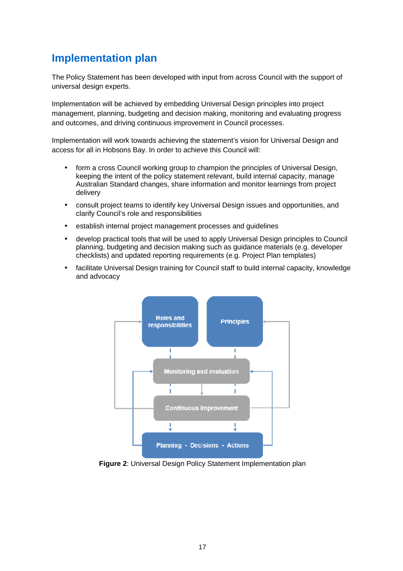#### **Implementation plan**

The Policy Statement has been developed with input from across Council with the support of universal design experts.

Implementation will be achieved by embedding Universal Design principles into project management, planning, budgeting and decision making, monitoring and evaluating progress and outcomes, and driving continuous improvement in Council processes.

Implementation will work towards achieving the statement's vision for Universal Design and access for all in Hobsons Bay. In order to achieve this Council will:

- form a cross Council working group to champion the principles of Universal Design, keeping the intent of the policy statement relevant, build internal capacity, manage Australian Standard changes, share information and monitor learnings from project delivery
- consult project teams to identify key Universal Design issues and opportunities, and clarify Council's role and responsibilities
- establish internal project management processes and guidelines
- develop practical tools that will be used to apply Universal Design principles to Council planning, budgeting and decision making such as guidance materials (e.g. developer checklists) and updated reporting requirements (e.g. Project Plan templates)
- facilitate Universal Design training for Council staff to build internal capacity, knowledge and advocacy



**Figure 2**: Universal Design Policy Statement Implementation plan